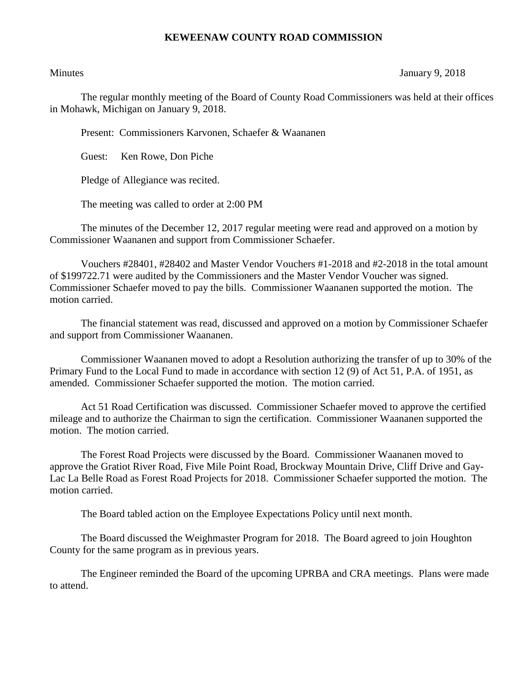## **KEWEENAW COUNTY ROAD COMMISSION**

## Minutes January 9, 2018

The regular monthly meeting of the Board of County Road Commissioners was held at their offices in Mohawk, Michigan on January 9, 2018.

Present: Commissioners Karvonen, Schaefer & Waananen

Guest: Ken Rowe, Don Piche

Pledge of Allegiance was recited.

The meeting was called to order at 2:00 PM

The minutes of the December 12, 2017 regular meeting were read and approved on a motion by Commissioner Waananen and support from Commissioner Schaefer.

Vouchers #28401, #28402 and Master Vendor Vouchers #1-2018 and #2-2018 in the total amount of \$199722.71 were audited by the Commissioners and the Master Vendor Voucher was signed. Commissioner Schaefer moved to pay the bills. Commissioner Waananen supported the motion. The motion carried.

The financial statement was read, discussed and approved on a motion by Commissioner Schaefer and support from Commissioner Waananen.

Commissioner Waananen moved to adopt a Resolution authorizing the transfer of up to 30% of the Primary Fund to the Local Fund to made in accordance with section 12 (9) of Act 51, P.A. of 1951, as amended. Commissioner Schaefer supported the motion. The motion carried.

Act 51 Road Certification was discussed. Commissioner Schaefer moved to approve the certified mileage and to authorize the Chairman to sign the certification. Commissioner Waananen supported the motion. The motion carried.

The Forest Road Projects were discussed by the Board. Commissioner Waananen moved to approve the Gratiot River Road, Five Mile Point Road, Brockway Mountain Drive, Cliff Drive and Gay-Lac La Belle Road as Forest Road Projects for 2018. Commissioner Schaefer supported the motion. The motion carried.

The Board tabled action on the Employee Expectations Policy until next month.

The Board discussed the Weighmaster Program for 2018. The Board agreed to join Houghton County for the same program as in previous years.

The Engineer reminded the Board of the upcoming UPRBA and CRA meetings. Plans were made to attend.